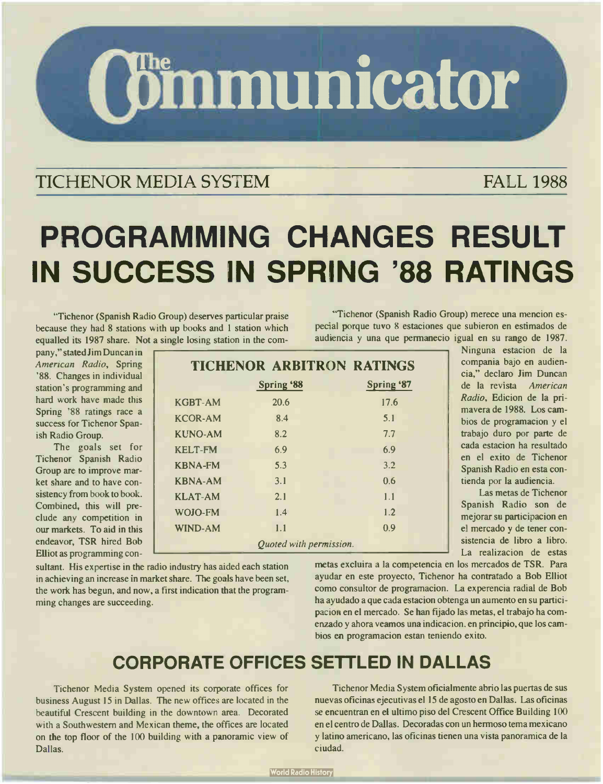**(Gimmunicator** 

### TICHENOR MEDIA SYSTEM FALL 1988

# PROGRAMMING CHANGES RESULT IN SUCCESS IN SPRING '88 RATINGS

"Tichenor ( Spanish Radio Group) deserves particular praise because they had 8 stations with up books and 1 station which equalled its 1987 share. Not a single losing station in the com-

"Tichenor ( Spanish Radio Group) merece una mencion especial porque tuvo 8 estaciones que subieron en estimados de audiencia y una que permanecio igual en su rango de 1987.

pany," stated Jim Duncan in American Radia, Spring '88. Changes in individual station's programming and hard work have made this Spring '88 ratings race a success for Tichenor Spanish Radio Group.

The goals set for Tichenor Spanish Radio Group are to improve market share and to have consistency from book to book. Combined, this will preclude any competition in our markets. To aid in this endeavor, TSR hired Bob Elliot as programming con-

|                         | <b>TICHENOR ARBITRON RATINGS</b> |                   |  |  |
|-------------------------|----------------------------------|-------------------|--|--|
| <b>Spring '88</b>       |                                  | <b>Spring '87</b> |  |  |
| <b>KGBT-AM</b>          | 20.6                             | 17.6              |  |  |
| <b>KCOR-AM</b>          | 8.4                              | 5.1               |  |  |
| <b>KUNO-AM</b>          | 8.2                              | 7.7               |  |  |
| <b>KELT-FM</b>          | 6.9                              | 6.9               |  |  |
| <b>KBNA-FM</b>          | 5.3                              | 3.2               |  |  |
| <b>KBNA-AM</b>          | 3.1                              | 0.6               |  |  |
| <b>KLAT-AM</b>          | 2.1                              | 1.1               |  |  |
| WOJO-FM                 | 1.4                              | 1.2               |  |  |
| WIND-AM                 | 1.1                              | 0.9               |  |  |
| Quoted with permission. |                                  |                   |  |  |

sultant. His expertise in the radio industry has aided each station in achieving an increase in market share. The goals have been set, the work has begun, and now, a first indication that the programming changes are succeeding.

Ninguna estacion de la compania bajo en audiencia," declaro Jim Duncan de la revista American Radio, Edicion de la primavera de 1988. Los cambios de programacion y el trabajo duro por parte de cada estacion ha resultado en el exito de Tichenor Spanish Radio en esta contienda por la audiencia.

Las metas de Tichenor Spanish Radio son de mejorar su participacion en el mercado y de tener consistencia de libro a libro. La realizacion de estas

metas excluira a la competencia en los mercados de TSR. Para ayudar en este proyecto, Tichenor ha contratado a Bob Elliot como consultor de programacion. La experencia radial de Bob ha ayudado a que cada estacion obtenga un aumento en su participacion en el mercado. Se han fijado las metas, el trabajo ha comcazado y ahora veamos una indicacion. en principio, que los cambios en programacion estan teniendo exito.

## CORPORATE OFFICES SETTLED IN DALLAS

Tichenor Media System opened its corporate offices for business August 15 in Dallas. The new offices are located in the beautiful Crescent building in the downtown area. Decorated with a Southwestern and Mexican theme, the offices are located on the top floor of the 100 building with a panoramic view of Dallas.

Tichenor Media System oficialmente abrio las puertas de sus nuevas oficinas ejecutivas el 15 de agosto en Dallas. Las oficinas se encuentran en el ultimo piso del Crescent Office Building 100 en el centro de Dallas. Decoradas con un hermoso tema mexicano y latino americano, las oficinas tienen una vista panoramica de la ciudad.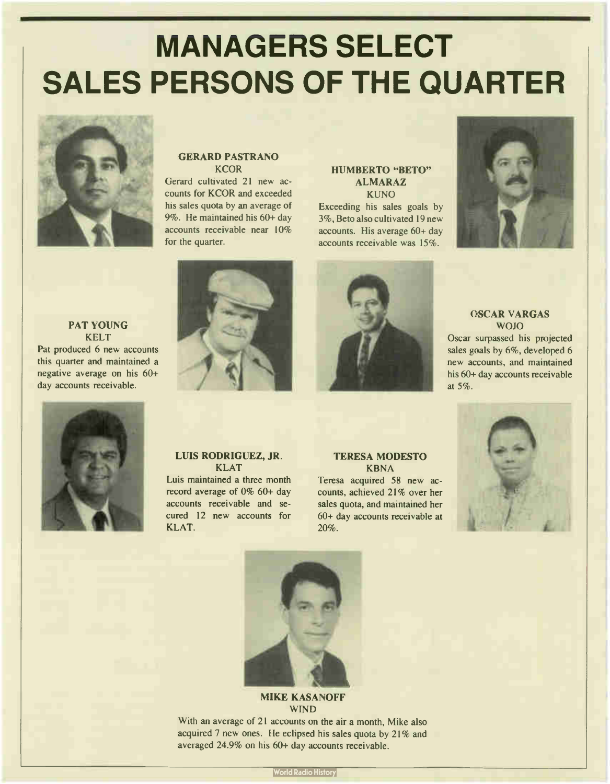# MANAGERS SELECT SALES PERSONS OF THE QUARTER



#### GERARD PASTRANO **KCOR**

Gerard cultivated 21 new accounts for KCOR and exceeded his sales quota by an average of 9%. He maintained his 60+ day accounts receivable near 10% for the quarter.

#### HUMBERTO "BETO" ALMARAZ

KUNO Exceeding his sales goals by 3%, Beto also cultivated 19 new accounts. His average 60+ day accounts receivable was 15%.



#### PAT YOUNG KELT Pat produced 6 new accounts this quarter and maintained a negative average on his 60+ day accounts receivable.





#### OSCAR VARGAS WOJO

Oscar surpassed his projected sales goals by 6%, developed 6 new accounts, and maintained his 60+ day accounts receivable at 5%.



#### LUIS RODRIGUEZ, JR. KLAT

Luis maintained a three month record average of 0% 60+ day accounts receivable and secured 12 new accounts for KLAT.

#### TERESA MODESTO KBNA

Teresa acquired 58 new accounts, achieved 21% over her sales quota, and maintained her 60+ day accounts receivable at 20%.





#### MIKE KASANOFF WIND

With an average of 21 accounts on the air a month, Mike also acquired 7 new ones. He eclipsed his sales quota by 21% and averaged 24.9% on his 60+ day accounts receivable.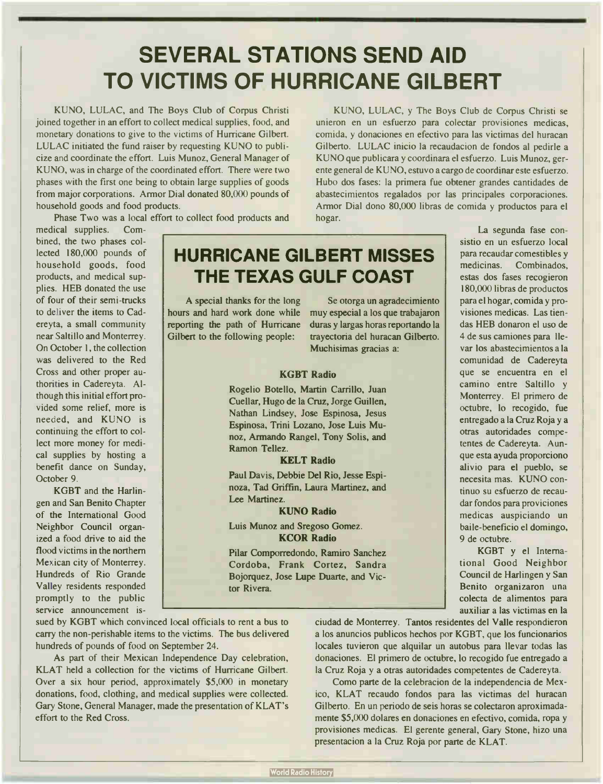## SEVERAL STATIONS SEND AID TO VICTIMS OF HURRICANE GILBERT

KUNO, LULAC, and The Boys Club of Corpus Christi joined together in an effort to collect medical supplies, food, and monetary donations to give to the victims of Hurricane Gilbert. LULAC initiated the fund raiser by requesting KUNO to publicize and coordinate the effort. Luis Munoz, General Manager of KUNO, was in charge of the coordinated effort. There were two phases with the first one being to obtain large supplies of goods from major corporations. Armor Dial donated 80,000 pounds of household goods and food products.

Phase Two was a local effort to collect food products and

KUNO, LULAC, y The Boys Club de Corpus Christi se unieron en un esfuerzo para colectar provisiones medicas, comida, y donaciones en efectivo para las victimas del huracan Gilberto. LULAC inicio la recaudacion de fondos al pedirle a KUNO que publicara y coordinara el esfuerzo. Luis Munoz, gerente general de KUNO, estuvo a cargo de coordinar este esfuerzo. Hubo dos fases: la primera fue obtener grandes cantidades de abastecimientos regalados por las principales corporaciones. Armor Dial dono 80,000 libras de comida y productos para el hogar.

medical supplies. Combined, the two phases collected 180,000 pounds of household goods, food products, and medical supplies. HEB donated the use of four of their semi- trucks to deliver the items to Cadereyta, a small community near Saltillo and Monterrey. On October 1, the collection was delivered to the Red Cross and other proper authorities in Cadereyta. Although this initial effort provided some relief, more is needed, and KUNO is continuing the effort to collect more money for medical supplies by hosting a benefit dance on Sunday, October 9.

KGBT and the Harlingen and San Benito Chapter of the International Good Neighbor Council organized a food drive to aid the flood victims in the northern Mexican city of Monterrey. Hundreds of Rio Grande Valley residents responded promptly to the public service announcement is-

## HURRICANE GILBERT MISSES THE TEXAS GULF COAST

A special thanks for the long hours and hard work done while reporting the path of Hurricane Gilbert to the following people:

Se otorga un agradecimiento muy especial a los que trabajaron duras y largas horas reportando la trayectoria del huracan Gilberto. Muchisimas gracias a:

#### KGBT Radio

Rogelio Botello, Martin Carrillo, Juan Cuellar, Hugo de la Cruz, Jorge Guillen, Nathan Lindsey, Jose Espinosa, Jesus Espinosa, Trini Lozano, Jose Luis Munoz, Armando Rangel, Tony Solis, and Ramon Tellez.

#### KELT Radio

Paul Davis, Debbie Del Rio, Jesse Espinoza, Tad Griffin, Laura Martinez, and Lee Martinez.

#### KUNO Radio

Luis Munoz and Sregoso Gomez. KCOR Radio

Pilar Comporredondo, Ramiro Sanchez Cordoba, Frank Cortez, Sandra Bojorquez, Jose Lupe Duarte, and Victor Rivera.

La segunda fase consistio en un esfuerzo local para recaudar comestibles y medicinas. Combinados, estas dos fases recogieron 180,000 libras de productos para el hogar, comida y provisiones medicas. Las tiendas HEB donaron el uso de 4 de sus camiones para llevar los abastecimientos a la comunidad de Cadereyta que se encuentra en el camino entre Saltillo y Monterrey. El primero de octubre, lo recogido, fue entregado a la Cruz Roja y a otras autoridades competentes de Cadereyta. Aunque esta ayuda proporciono alivio para el pueblo, se necesita mas. KUNO continuo su esfuerzo de recaudar fondos para proviciones medicas auspiciando un baile- beneficio el domingo, 9 de octubre.

KGBT y el International Good Neighbor Council de Harlingen y San Benito organizaron una colecta de alimentos para auxiliar a las victimas en la

sued by KGBT which convinced local officials to rent a bus to carry the non-perishable items to the victims. The bus delivered hundreds of pounds of food on September 24.

As part of their Mexican Independence Day celebration, KLAT held a collection for the victims of Hurricane Gilbert. Over a six hour period, approximately \$5,000 in monetary donations, food, clothing, and medical supplies were collected. Gary Stone, General Manager, made the presentation of KLAT's effort to the Red Cross.

ciudad de Monterrey. Tantos residentes del Valle respondieron a los anuncios publicos hechos por KGBT, que los funcionarios locales tuvieron que alquilar un autobus para llevar todas las donaciones. El primero de octubre, lo recogido fue entregado a la Cruz Roja y a otras autoridades competentes de Cadereyta.

Como parte de la celebracion de la independencia de Mexico, KLAT recaudo fondos para las victimas del huracan Gilberto. En un periodo de seis horas se colectaron aproximadamente \$5,000 dolares en donaciones en efectivo, comida, ropa y provisiones medicas. El gerente general, Gary Stone, hizo una presentacion a la Cruz Roja por parte de KLAT.

**World Radio History**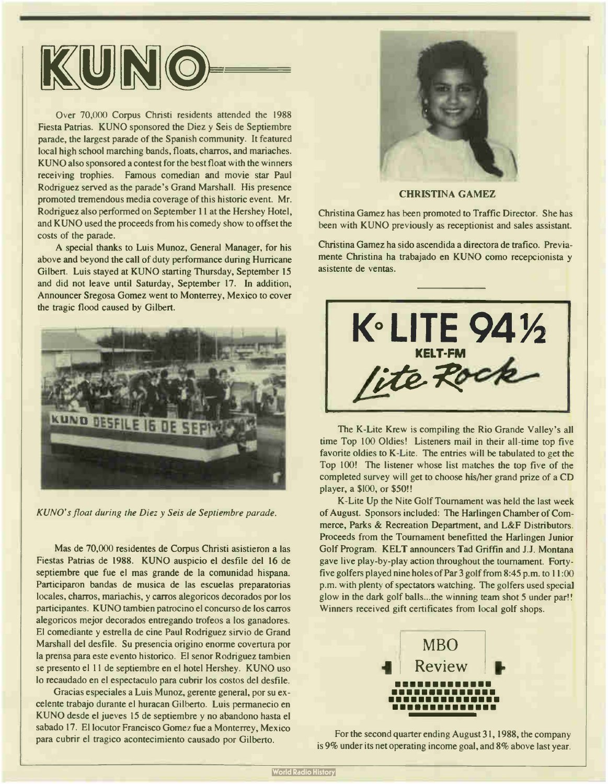

Over 70,000 Corpus Christi residents attended the 1988 Fiesta Patrias. KUNO sponsored the Diez y Seis de Septiembre parade, the largest parade of the Spanish community. It featured local high school marching bands, floats, charros, and mariaches. KUNO also sponsored a contest for the best float with the winners receiving trophies. Famous comedian and movie star Paul Rodriguez served as the parade's Grand Marshall. His presence promoted tremendous media coverage of this historic event. Mr. Rodriguez also performed on September 11 at the Hershey Hotel, and KUNO used the proceeds from his comedy show to offset the costs of the parade.

A special thanks to Luis Munoz, General Manager, for his above and beyond the call of duty performance during Hurricane Gilbert. Luis stayed at KUNO starting Thursday, September 15 and did not leave until Saturday, September 17. In addition, Announcer Sregosa Gomez went to Monterrey, Mexico to cover the tragic flood caused by Gilbert.



KUNO's float during the Diez y Seis de Septiembre parade.

Mas de 70,000 residentes de Corpus Christi asistieron a las Fiestas Patrias de 1988. KUNO auspicio el desfile del 16 de septiembre que fue el mas grande de la comunidad hispana. Participaron bandas de musica de las escuelas preparatorias locales, charros, mariachis, y carros alegoricos decorados por los participantes. KUNO tambien patrocino el concurso de los carros alegoricos mejor decorados entregando trofeos a los ganadores. El comediante y estrella de cine Paul Rodriguez sirvio de Grand Marshall del desfile. Su presencia origino enorme covertura por la prensa para este evento historico. El senor Rodriguez tambien se presento el 11 de septiembre en el hotel Hershey. KUNO uso lo recaudado en el espectaculo para cubrir los costos del desfile.

Gracias especiales a Luis Munoz, gerente general, por su excelente trabajo durante el huracan Gilberto. Luis permanecio en KUNO desde el jueves 15 de septiembre y no abandono hasta el sabado 17. El locutor Francisco Gomez fue a Monterrey, Mexico para cubrir el tragico acontecimiento causado por Gilberto.



CHRISTINA GAMEZ

Christina Gamez has been promoted to Traffic Director. She has been with KUNO previously as receptionist and sales assistant.

Christina Gamez ha sido ascendida a directora de trafico. Previamente Christina ha trabajado en KUNO como recepcionista y asistente de yentas.



The K-Lite Krew is compiling the Rio Grande Valley's all time Top 100 Oldies! Listeners mail in their all-time top five favorite oldies to K-Lite. The entries will be tabulated to get the Top 100! The listener whose list matches the top five of the completed survey will get to choose his/her grand prize of a CD player, a \$100, or \$50!!

K-Lite Up the Nite Golf Tournament was held the last week of August. Sponsors included: The Harlingen Chamber of Commerce, Parks & Recreation Department, and L&F Distributors. Proceeds from the Tournament benefitted the Harlingen Junior Golf Program. KELT announcers Tad Griffin and J.J. Montana gave live play-by-play action throughout the tournament. Fortyfive golfers played nine holes of Par 3 golf from 8:45 p.m. to 11:00 p.m. with plenty of spectators watching. The golfers used special glow in the dark golf balls...the winning team shot 5 under par!! Winners received gift certificates from local golf shops.



For the second quarter ending August 31, 1988, the company is 9% under its net operating income goal, and 8% above last year.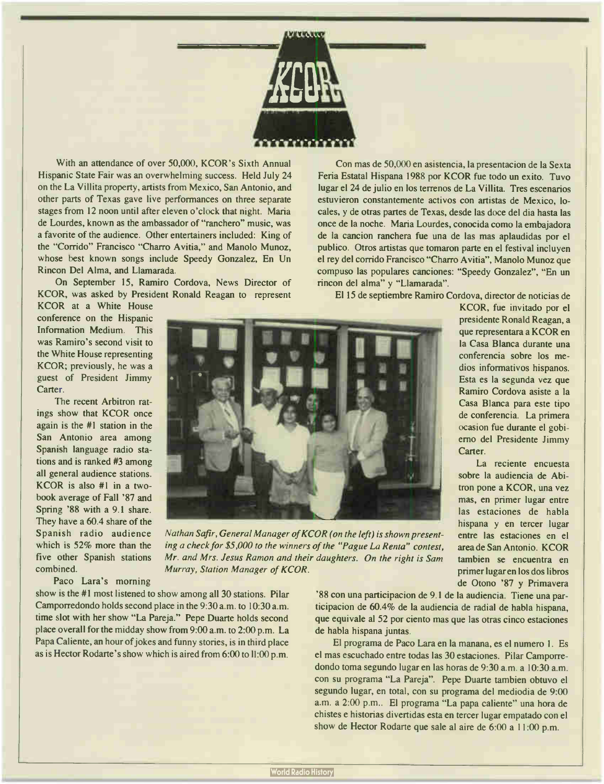

With an attendance of over 50,000, KCOR's Sixth Annual Hispanic State Fair was an overwhelming success. Held July 24 on the La Villita property, artists from Mexico, San Antonio, and other parts of Texas gave live performances on three separate stages from 12 noon until after eleven o'clock that night. Maria de Lourdes, known as the ambassador of "ranchero" music, was a favorite of the audience. Other entertainers included: King of the "Corrido" Francisco "Charro Avitia," and Manolo Munoz, whose best known songs include Speedy Gonzalez, En Un Rincon Del Alma, and Llamarada.

On September 15, Ramiro Cordova, News Director of KCOR, was asked by President Ronald Reagan to represent

Con mas de 50,000 en asistencia, la presentacion de la Sexta Feria Estatal Hispana <sup>1988</sup> por KCOR fue todo un exito. Tuvo lugar el 24 de julio en los terrenos de La Villita. Tres escenarios estuvieron constantemente activos con artistas de Mexico, locales, y de otras partes de Texas, desde las doce del dia hasta las once de la noche. Maria Lourdes, conocida como la embajadora de la cancion ranchera fue una de las mas aplaudidas por el publico. Otros artistas que tomaron parte en el festival incluyen el rey del corrido Francisco "Charro Avitia", Manolo Munoz que compuso las populares canciones: "Speedy Gonzalez", "En un rincon del alma" y "Llamarada".

El 15 de septiembre Ramiro Cordova, director de noticias de

KCOR at a White House conference on the Hispanic Information Medium. This was Ramiro's second visit to the White House representing KCOR; previously, he was a guest of President Jimmy Carter.

The recent Arbitron ratings show that KCOR once again is the  $#1$  station in the San Antonio area among Spanish language radio stations and is ranked #3 among all general audience stations. KCOR is also  $#1$  in a twobook average of Fall '87 and Spring '88 with a 9.1 share. They have a 60.4 share of the Spanish radio audience which is 52% more than the five other Spanish stations combined.

Paco Lara's morning

show is the #1 most listened to show among all 30 stations. Pilar Camporredondo holds second place in the 9:30 a.m. to 10:30 a.m. time slot with her show "La Pareja." Pepe Duarte holds second place overall for the midday show from 9:00 a.m. to 2:00 p.m. La Papa Caliente, an hour of jokes and funny stories, is in third place as is Hector Rodarte's show which is aired from 6:00 toll:00 p.m.



Nathan Safir, General Manager of KCOR (on the left) is shown presenting a check for \$5,000 to the winners of the " Pague La Renta" contest, Mr. and Mrs. Jesus Ramon and their daughters. On the right is Sam Murray, Station Manager of KCOR.

'88 con una participacion de 9.1 de la audiencia. Tiene una participacion de 60.4% de la audiencia de radial de habla hispana, que equivale al 52 por ciento mas que las otras cinco estaciones de habla hispana juntas.

El programa de Paco Lara en la manana, es el numero I. Es el mas escuchado entre todas las 30 estaciones. Pilar Camporredondo toma segundo lugar en las horas de 9:30 a.m. a 10:30 a.m. con su programa "La Pareja". Pepe Duarte tambien obtuvo el segundo lugar, en total, con su programa del mediodia de 9:00 a.m. a 2:00 p.m.. El programa "La papa caliente" una hora de chistes e historias divertidas esta en tercer lugar empatado con el show de Hector Rodarte que sale al aire de 6:00 a 11:00 p.m.

presidente Ronald Reagan, a que representara a KCOR en la Casa Blanca durante una conferencia sobre los medios informativos hispanos. Esta es la segunda vez que Ramiro Cordova asiste a la Casa Blanca para este tipo de conferencia. La primera ocasion fue durante el gobierno del Presidente Jimmy Carter. La reciente encuesta

sobre la audiencia de Abitron pone a KCOR, una vez mas, en primer lugar entre las estaciones de habla hispana y en tercer lugar entre las estaciones en el area de San Antonio. KCOR tambien se encuentra en primer lugar en los dos libros de Otono '87 y Primavera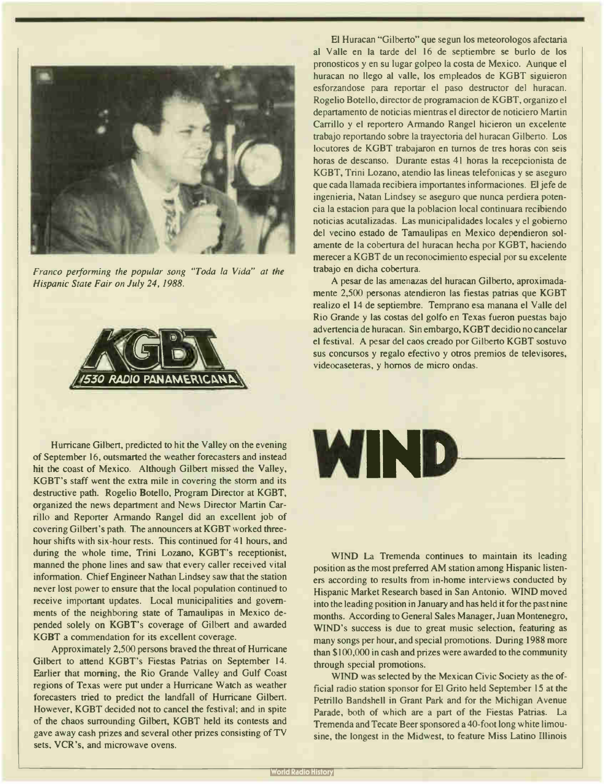

Franco performing the popular song "Toda la Vida" at the Hispanic State Fair on July 24, 1988.



Hurricane Gilbert, predicted to hit the Valley on the evening of September 16, outsmarted the weather forecasters and instead hit the coast of Mexico. Although Gilbert missed the Valley, KGBT's staff went the extra mile in covering the storm and its destructive path. Rogelio Botello, Program Director at KGBT, organized the news department and News Director Martin Carrillo and Reporter Armando Rangel did an excellent job of covering Gilbert's path. The announcers at KGBT worked threehour shifts with six-hour rests. This continued for 41 hours, and during the whole time, Trini Lozano, KGBT's receptionist, manned the phone lines and saw that every caller received vital information. Chief Engineer Nathan Lindsey saw that the station never lost power to ensure that the local population continued to receive important updates. Local municipalities and governments of the neighboring state of Tamaulipas in Mexico depended solely on KGBT's coverage of Gilbert and awarded KGBT a commendation for its excellent coverage.

Approximately 2,500 persons braved the threat of Hurricane Gilbert to attend KGBT's Fiestas Patrias on September 14. Earlier that morning, the Rio Grande Valley and Gulf Coast regions of Texas were put under a Hurricane Watch as weather forecasters tried to predict the landfall of Hurricane Gilbert. However, KGBT decided not to cancel the festival; and in spite of the chaos surrounding Gilbert, KGBT held its contests and gave away cash prizes and several other prizes consisting of TV sets, VCR's, and microwave ovens.

El Huracan "Gilberto" que segun los meteorologos afectaria al Valle en la tarde del 16 de septiembre se burlo de los pronosticos y en su lugar golpeo la costa de Mexico. Aunque el huracan no llego al valle, los empleados de KGBT siguieron esforzandose para reportar el paso destructor del huracan. Rogelio Botello, director de programacion de KGBT, organizo el departamento de noticias mientras el director de noticiero Martin Carrillo y el reportero Armando Rangel hicieron un excelente trabajo reportando sobre la trayectoria del huracan Gilberto. Los locutores de KGBT trabajaron en turnos de tres horas con seis horas de descanso. Durante estas 41 horas la recepcionista de KGBT, Trini Lozano, atendio las lineas telefonicas y se aseguro que cada llamada recibiera importantes informaciones. El jefe de ingenieria, Natan Lindsey se aseguro que nunca perdiera potencia la estacion para que la poblacion local continuara recibiendo noticias acutalizadas. Las municipalidades locales y el gobierno del vecino estado de Tamaulipas en Mexico dependieron solamente de la cobertura del huracan hecha por KGBT, haciendo merecer a KGBT de un reconocimiento especial por su excelente trabajo en dicha cobertura.

A pesar de las amenazas del huracan Gilberto, aproximadamente 2,500 personas atendieron las fiestas patrias que KGBT realizo el 14 de septiembre. Temprano esa manana el Valle del Rio Grande y las costas del golfo en Texas fueron puestas bajo advertencia de huracan. Sin embargo, KGBT decidio no cancelar el festival. A pesar del caos creado por Gilberto KGBT sostuvo sus concursos y regalo efectivo y otros premios de televisores, videocaseteras, y hornos de micro ondas.

WIND-

WIND La Tremenda continues to maintain its leading position as the most preferred AM station among Hispanic listeners according to results from in-home interviews conducted by Hispanic Market Research based in San Antonio. WIND moved into the leading position in January and has held it for the past nine months. According to General Sales Manager, Juan Montenegro, WIND's success is due to great music selection, featuring as many songs per hour, and special promotions. During 1988 more than \$ 100,000 in cash and prizes were awarded to the community through special promotions.

WIND was selected by the Mexican Civic Society as the official radio station sponsor for El Grito held September 15 at the Petrillo Bandshell in Grant Park and for the Michigan Avenue Parade, both of which are a part of the Fiestas Patrias. La Tremenda and Tecate Beer sponsored a 40- foot long white limousine, the longest in the Midwest, to feature Miss Latino Illinois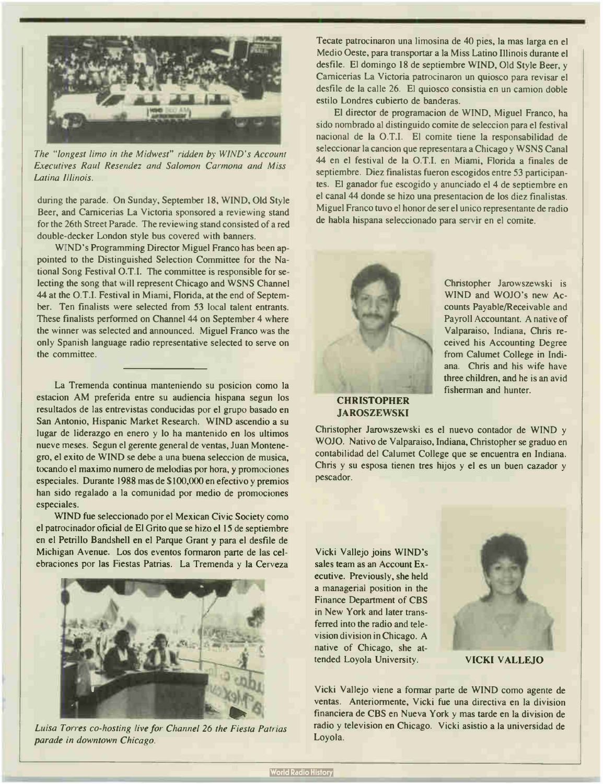

The "longest limo in the Midwest" ridden by WIND's Account Executives Raul Resendez and Salomon Carmona and Miss Latina Illinois.

during the parade. On Sunday, September 18, WIND, Old Style Beer, and Camicerias La Victoria sponsored a reviewing stand for the 26th Street Parade. The reviewing stand consisted of a red double-decker London style bus covered with banners.

WIND's Programming Director Miguel Franco has been appointed to the Distinguished Selection Committee for the National Song Festival O.T.I. The committee is responsible for selecting the song that will represent Chicago and WSNS Channel 44 at the 0.T.I. Festival in Miami, Florida, at the end of September. Ten finalists were selected from 53 local talent entrants. These finalists performed on Channel 44 on September 4 where the winner was selected and announced. Miguel Franco was the only Spanish language radio representative selected to serve on the committee.

La Tremenda continua manteniendo su posicion como la estacion AM preferida entre su audiencia hispana segun los resultados de las entrevistas conducidas por el grupo basado en San Antonio, Hispanic Market Research. WIND ascendio a su lugar de liderazgo en enero y lo ha mantenido en los ultimos nueve meses. Segun el gerente general de yentas, Juan Montenegro, el exito de WIND se debe a una buena seleccion de musica, tocando el maximo numero de melodias por hora, y promociones especiales. Durante <sup>1988</sup> mas de \$ 100,000 en efectivo y premios han sido regalado a la comunidad por medio de promociones especiales.

WIND fue seleccionado por el Mexican Civic Society como el patrocinador oficial de El Grito que se hizo el 15 de septiembre en el Petrillo Bandshell en el Parque Grant y para el desfile de Michigan Avenue. Los dos eventos formaron parte de las celebraciones por las Fiestas Patrias. La Tremenda y la Cerveza



Luisa Torres co- hosting live for Channel 26 the Fiesta Patrias parade in downtown Chicago.

Tecate patrocinaron una limosina de 40 pies, la mas larga en el Medio Oeste, para transportar a la Miss Latino Illinois durante el desfile. El domingo 18 de septiembre WIND, Old Style Beer, y Camicerias La Victoria patrocinaron un quiosco para revisar el desfile de la calle 26. El quiosco consistia en un camion doble estilo Londres cubierto de banderas.

El director de programacion de WIND, Miguel Franco, ha sido nombrado al distinguido comite de seleccion para el festival nacional de la O.T.I. El comite tiene la responsabilidad de seleccionar la cancion que representara a Chicago y WSNS Canal 44 en el festival de la 0.T.I. en Miami, Florida a finales de septiembre. Diez finalistas fueron escogidos entre 53 participantes. El ganador fue escogido y anunciado el 4 de septiembre en el canal 44 donde se hizo una presentacion de los diez finalistas. Miguel Franco tuvo el honor de ser el unico representante de radio de habla hispana seleccionado para servir en el comite.



Christopher Jarowszewski is WIND and WOJO's new Accounts Payable/Receivable and Payroll Accountant. A native of Valparaiso, Indiana, Chris received his Accounting Degree from Calumet College in Indiana. Chris and his wife have three children, and he is an avid fisherman and hunter.

JAROSZEWSKI

Christopher Jarowszewski es el nuevo contador de WIND y WOJO. Nativo de Valparaiso, Indiana, Christopher se graduo en contabilidad del Calumet College que se encuentra en Indiana. Chris y su esposa tienen tres hijos y el es un buen cazador y pescador.

Vicki Vallejo joins WIND's sales team as an Account Executive. Previously, she held a managerial position in the Finance Department of CBS in New York and later transferred into the radio and television division in Chicago. A native of Chicago, she attended Loyola University. VICKI VALLEJO



Vicki Vallejo viene a formar parte de WIND como agente de yentas. Anteriormente, Vicki fue una directiva en la division financiera de CBS en Nueva York y mas tarde en la division de radio y television en Chicago. Vicki asistio a la universidad de Loyola.